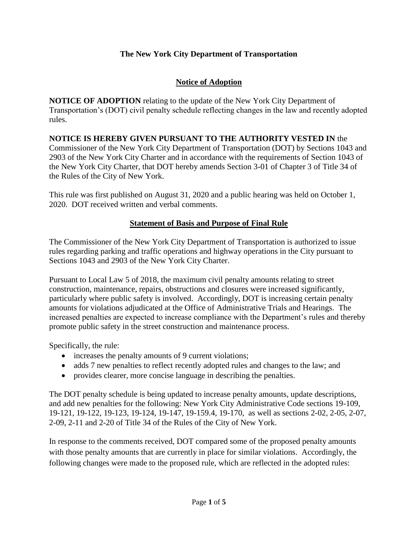### **The New York City Department of Transportation**

#### **Notice of Adoption**

**NOTICE OF ADOPTION** relating to the update of the New York City Department of Transportation's (DOT) civil penalty schedule reflecting changes in the law and recently adopted rules.

**NOTICE IS HEREBY GIVEN PURSUANT TO THE AUTHORITY VESTED IN** the Commissioner of the New York City Department of Transportation (DOT) by Sections 1043 and 2903 of the New York City Charter and in accordance with the requirements of Section 1043 of the New York City Charter, that DOT hereby amends Section 3-01 of Chapter 3 of Title 34 of the Rules of the City of New York.

This rule was first published on August 31, 2020 and a public hearing was held on October 1, 2020. DOT received written and verbal comments.

#### **Statement of Basis and Purpose of Final Rule**

The Commissioner of the New York City Department of Transportation is authorized to issue rules regarding parking and traffic operations and highway operations in the City pursuant to Sections 1043 and 2903 of the New York City Charter.

Pursuant to Local Law 5 of 2018, the maximum civil penalty amounts relating to street construction, maintenance, repairs, obstructions and closures were increased significantly, particularly where public safety is involved. Accordingly, DOT is increasing certain penalty amounts for violations adjudicated at the Office of Administrative Trials and Hearings. The increased penalties are expected to increase compliance with the Department's rules and thereby promote public safety in the street construction and maintenance process.

Specifically, the rule:

- increases the penalty amounts of 9 current violations;
- adds 7 new penalties to reflect recently adopted rules and changes to the law; and
- provides clearer, more concise language in describing the penalties.

The DOT penalty schedule is being updated to increase penalty amounts, update descriptions, and add new penalties for the following: New York City Administrative Code sections 19-109, 19-121, 19-122, 19-123, 19-124, 19-147, 19-159.4, 19-170, as well as sections 2-02, 2-05, 2-07, 2-09, 2-11 and 2-20 of Title 34 of the Rules of the City of New York.

In response to the comments received, DOT compared some of the proposed penalty amounts with those penalty amounts that are currently in place for similar violations. Accordingly, the following changes were made to the proposed rule, which are reflected in the adopted rules: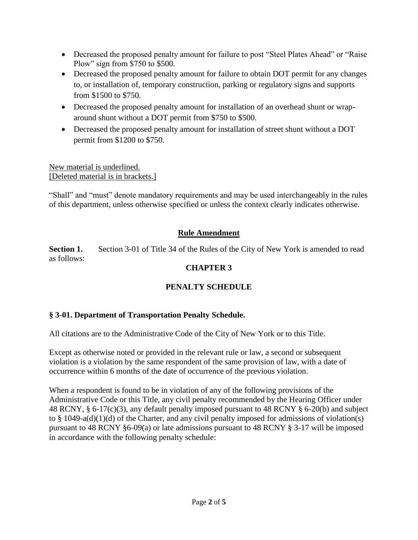- Decreased the proposed penalty amount for failure to post "Steel Plates Ahead" or "Raise Plow" sign from \$750 to \$500.
- Decreased the proposed penalty amount for failure to obtain DOT permit for any changes to, or installation of, temporary construction, parking or regulatory signs and supports from \$1500 to \$750.
- Decreased the proposed penalty amount for installation of an overhead shunt or wraparound shunt without a DOT permit from \$750 to \$500.
- Decreased the proposed penalty amount for installation of street shunt without a DOT permit from \$1200 to \$750.

New material is underlined. [Deleted material is in brackets.]

"Shall" and "must" denote mandatory requirements and may be used interchangeably in the rules of this department, unless otherwise specified or unless the context clearly indicates otherwise.

# **Rule Amendment**

**Section 1.** Section 3-01 of Title 34 of the Rules of the City of New York is amended to read as follows:

# **CHAPTER 3**

# **PENALTY SCHEDULE**

#### **§ 3-01. Department of Transportation Penalty Schedule.**

All citations are to the Administrative Code of the City of New York or to this Title.

Except as otherwise noted or provided in the relevant rule or law, a second or subsequent violation is a violation by the same respondent of the same provision of law, with a date of occurrence within 6 months of the date of occurrence of the previous violation.

When a respondent is found to be in violation of any of the following provisions of the Administrative Code or this Title, any civil penalty recommended by the Hearing Officer under 48 RCNY, § 6-17(c)(3), any default penalty imposed pursuant to 48 RCNY § 6-20(b) and subject to  $\S$  1049-a(d)(1)(d) of the Charter, and any civil penalty imposed for admissions of violation(s) pursuant to 48 RCNY §6-09(a) or late admissions pursuant to 48 RCNY § 3-17 will be imposed in accordance with the following penalty schedule: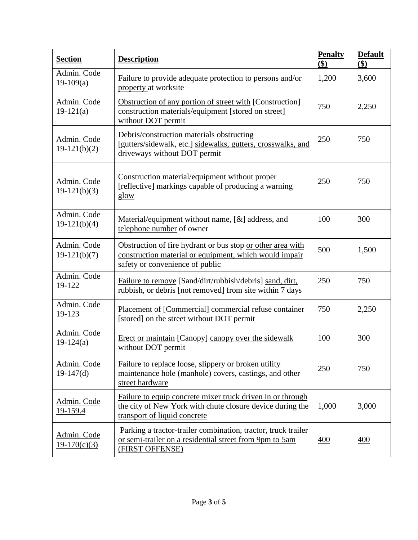| <b>Section</b>                | <b>Description</b>                                                                                                                                      | <b>Penalty</b><br>\$) | <b>Default</b><br>\$) |
|-------------------------------|---------------------------------------------------------------------------------------------------------------------------------------------------------|-----------------------|-----------------------|
| Admin. Code<br>$19-109(a)$    | Failure to provide adequate protection to persons and/or<br>property at worksite                                                                        | 1,200                 | 3,600                 |
| Admin. Code<br>$19-121(a)$    | Obstruction of any portion of street with [Construction]<br>construction materials/equipment [stored on street]<br>without DOT permit                   | 750                   | 2,250                 |
| Admin. Code<br>$19-121(b)(2)$ | Debris/construction materials obstructing<br>[gutters/sidewalk, etc.] sidewalks, gutters, crosswalks, and<br>driveways without DOT permit               | 250                   | 750                   |
| Admin. Code<br>$19-121(b)(3)$ | Construction material/equipment without proper<br>[reflective] markings capable of producing a warning<br>glow                                          | 250                   | 750                   |
| Admin. Code<br>$19-121(b)(4)$ | Material/equipment without name, $[\&]$ address, and<br>telephone number of owner                                                                       | 100                   | 300                   |
| Admin. Code<br>$19-121(b)(7)$ | Obstruction of fire hydrant or bus stop or other area with<br>construction material or equipment, which would impair<br>safety or convenience of public | 500                   | 1,500                 |
| Admin. Code<br>19-122         | Failure to remove [Sand/dirt/rubbish/debris] sand, dirt,<br>rubbish, or debris [not removed] from site within 7 days                                    | 250                   | 750                   |
| Admin. Code<br>19-123         | Placement of [Commercial] commercial refuse container<br>[stored] on the street without DOT permit                                                      | 750                   | 2,250                 |
| Admin. Code<br>$19-124(a)$    | Erect or maintain [Canopy] canopy over the sidewalk<br>without DOT permit                                                                               | 100                   | 300                   |
| Admin. Code<br>$19-147(d)$    | Failure to replace loose, slippery or broken utility<br>maintenance hole (manhole) covers, castings, and other<br>street hardware                       | 250                   | 750                   |
| Admin. Code<br>19-159.4       | Failure to equip concrete mixer truck driven in or through<br>the city of New York with chute closure device during the<br>transport of liquid concrete | 1,000                 | 3,000                 |
| Admin. Code<br>$19-170(c)(3)$ | Parking a tractor-trailer combination, tractor, truck trailer<br>or semi-trailer on a residential street from 9pm to 5am<br>(FIRST OFFENSE)             | 400                   | 400                   |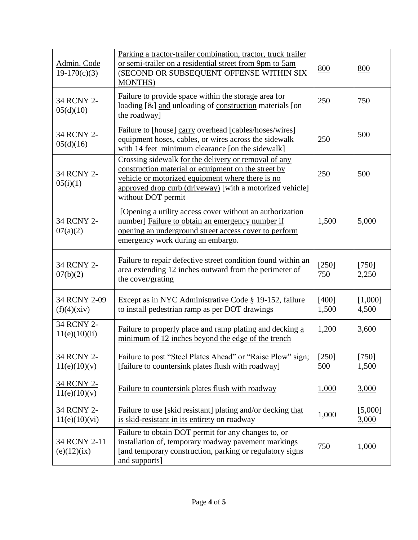| Admin. Code<br>$19-170(c)(3)$     | Parking a tractor-trailer combination, tractor, truck trailer<br>or semi-trailer on a residential street from 9pm to 5am<br>(SECOND OR SUBSEQUENT OFFENSE WITHIN SIX<br><b>MONTHS</b> )                                                           | 800                   | 800                     |
|-----------------------------------|---------------------------------------------------------------------------------------------------------------------------------------------------------------------------------------------------------------------------------------------------|-----------------------|-------------------------|
| 34 RCNY 2-<br>05(d)(10)           | Failure to provide space within the storage area for<br>loading [&] and unloading of construction materials [on<br>the roadway]                                                                                                                   | 250                   | 750                     |
| 34 RCNY 2-<br>05(d)(16)           | Failure to [house] carry overhead [cables/hoses/wires]<br>equipment hoses, cables, or wires across the sidewalk<br>with 14 feet minimum clearance [on the sidewalk]                                                                               | 250                   | 500                     |
| 34 RCNY 2-<br>05(i)(1)            | Crossing sidewalk for the delivery or removal of any<br>construction material or equipment on the street by<br>vehicle or motorized equipment where there is no<br>approved drop curb (driveway) [with a motorized vehicle]<br>without DOT permit | 250                   | 500                     |
| 34 RCNY 2-<br>07(a)(2)            | [Opening a utility access cover without an authorization<br>number] Failure to obtain an emergency number if<br>opening an underground street access cover to perform<br>emergency work during an embargo.                                        | 1,500                 | 5,000                   |
| 34 RCNY 2-<br>07(b)(2)            | Failure to repair defective street condition found within an<br>area extending 12 inches outward from the perimeter of<br>the cover/grating                                                                                                       | $[250]$<br>750        | [750]<br>2,250          |
| 34 RCNY 2-09<br>(f)(4)(xiv)       | Except as in NYC Administrative Code § 19-152, failure<br>to install pedestrian ramp as per DOT drawings                                                                                                                                          | [400]<br><u>1,500</u> | [1,000]<br>4,500        |
| 34 RCNY 2-<br>11(e)(10)(ii)       | Failure to properly place and ramp plating and decking a<br>minimum of 12 inches beyond the edge of the trench                                                                                                                                    | 1,200                 | 3,600                   |
| 34 RCNY 2-<br>11(e)(10)(v)        | Failure to post "Steel Plates Ahead" or "Raise Plow" sign;<br>[failure to countersink plates flush with roadway]                                                                                                                                  | [250]<br>500          | $[750]$<br><u>1,500</u> |
| <u>34 RCNY 2-</u><br>11(e)(10)(v) | Failure to countersink plates flush with roadway                                                                                                                                                                                                  | 1,000                 | 3,000                   |
| 34 RCNY 2-<br>11(e)(10)(vi)       | Failure to use [skid resistant] plating and/or decking that<br>is skid-resistant in its entirety on roadway                                                                                                                                       | 1,000                 | [5,000]<br>3,000        |
| 34 RCNY 2-11<br>(e)(12)(ix)       | Failure to obtain DOT permit for any changes to, or<br>installation of, temporary roadway pavement markings<br>[and temporary construction, parking or regulatory signs<br>and supports]                                                          | 750                   | 1,000                   |